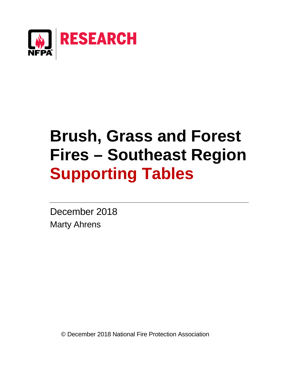

# **Brush, Grass and Forest Fires – Southeast Region Supporting Tables**

December 2018 Marty Ahrens

© December 2018 National Fire Protection Association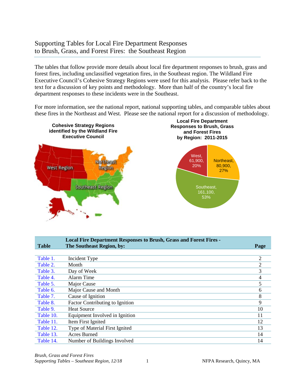# Supporting Tables for Local Fire Department Responses to Brush, Grass, and Forest Fires: the Southeast Region

The tables that follow provide more details about local fire department responses to brush, grass and forest fires, including unclassified vegetation fires, in the Southeast region. The Wildland Fire Executive Council's Cohesive Strategy Regions were used for this analysis. Please refer back to the text for a discussion of key points and methodology. More than half of the country's local fire department responses to these incidents were in the Southeast.

For more information, see the national report, national supporting tables, and comparable tables about these fires in the Northeast and West. Please see the national report for a discussion of methodology.



|              | <b>Local Fire Department Responses to Brush, Grass and Forest Fires -</b> |                |
|--------------|---------------------------------------------------------------------------|----------------|
| <b>Table</b> | The Southeast Region, by:                                                 | Page           |
|              |                                                                           |                |
| Table 1.     | Incident Type                                                             | $\overline{2}$ |
| Table 2.     | Month                                                                     | 2              |
| Table 3.     | Day of Week                                                               | 3              |
| Table 4.     | Alarm Time                                                                | 4              |
| Table 5.     | Major Cause                                                               | 5              |
| Table 6.     | Major Cause and Month                                                     | 6              |
| Table 7.     | Cause of Ignition                                                         | 8              |
| Table 8.     | Factor Contributing to Ignition                                           | 9              |
| Table 9.     | <b>Heat Source</b>                                                        | 10             |
| Table 10.    | Equipment Involved in Ignition                                            | 11             |
| Table 11.    | Item First Ignited                                                        | 12             |
| Table 12.    | Type of Material First Ignited                                            | 13             |
| Table 13.    | Acres Burned                                                              | 14             |
| Table 14.    | Number of Buildings Involved                                              | 14             |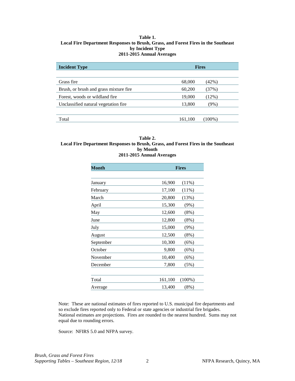#### <span id="page-2-0"></span>**Table 1. Local Fire Department Responses to Brush, Grass, and Forest Fires in the Southeast by Incident Type 2011-2015 Annual Averages**

| <b>Incident Type</b>                   |         | <b>Fires</b> |
|----------------------------------------|---------|--------------|
|                                        |         |              |
| Grass fire                             | 68,000  | (42%)        |
| Brush, or brush and grass mixture fire | 60,200  | (37%)        |
| Forest, woods or wildland fire.        | 19,000  | $12\%)$      |
| Unclassified natural vegetation fire   | 13,800  | (9%)         |
|                                        |         |              |
| Total                                  | 161,100 | $(100\%)$    |

#### **Table 2. Local Fire Department Responses to Brush, Grass, and Forest Fires in the Southeast by Month 2011-2015 Annual Averages**

| Month     |         | <b>Fires</b> |
|-----------|---------|--------------|
|           |         |              |
| January   | 16,900  | $(11\%)$     |
| February  | 17,100  | (11%)        |
| March     | 20,800  | (13%)        |
| April     | 15,300  | $(9\%)$      |
| May       | 12,600  | $(8\%)$      |
| June      | 12,800  | (8%)         |
| July      | 15,000  | (9%)         |
| August    | 12,500  | (8%)         |
| September | 10,300  | (6%)         |
| October   | 9,800   | (6%)         |
| November  | 10,400  | (6%)         |
| December  | 7,800   | (5%)         |
| Total     | 161,100 | $(100\%)$    |
| Average   | 13,400  | (8%)         |

Note: These are national estimates of fires reported to U.S. municipal fire departments and so exclude fires reported only to Federal or state agencies or industrial fire brigades. National estimates are projections. Fires are rounded to the nearest hundred. Sums may not equal due to rounding errors.

Source: NFIRS 5.0 and NFPA survey.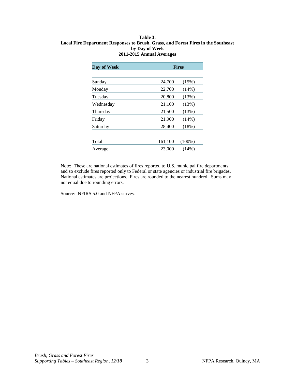#### <span id="page-3-0"></span>**Table 3. Local Fire Department Responses to Brush, Grass, and Forest Fires in the Southeast by Day of Week 2011-2015 Annual Averages**

| Day of Week |         | <b>Fires</b> |
|-------------|---------|--------------|
|             |         |              |
| Sunday      | 24,700  | (15%)        |
| Monday      | 22,700  | $(14\%)$     |
| Tuesday     | 20,800  | (13%)        |
| Wednesday   | 21,100  | (13%)        |
| Thursday    | 21,500  | (13%)        |
| Friday      | 21,900  | $(14\%)$     |
| Saturday    | 28,400  | $(18\%)$     |
|             |         |              |
| Total       | 161,100 | $(100\%)$    |
| Average     | 23,000  | (14%)        |

Note: These are national estimates of fires reported to U.S. municipal fire departments and so exclude fires reported only to Federal or state agencies or industrial fire brigades. National estimates are projections. Fires are rounded to the nearest hundred. Sums may not equal due to rounding errors.

Source: NFIRS 5.0 and NFPA survey.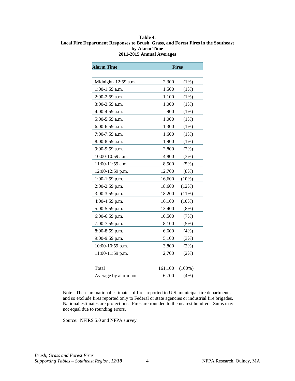#### <span id="page-4-0"></span>**Table 4. Local Fire Department Responses to Brush, Grass, and Forest Fires in the Southeast by Alarm Time 2011-2015 Annual Averages**

| <b>Alarm Time</b>     |         | <b>Fires</b> |
|-----------------------|---------|--------------|
|                       |         |              |
| Midnight-12:59 a.m.   | 2,300   | (1%)         |
| 1:00-1:59 a.m.        | 1,500   | $(1\%)$      |
| 2:00-2:59 a.m.        | 1,100   | (1%)         |
| 3:00-3:59 a.m.        | 1,000   | (1%)         |
| 4:00-4:59 a.m.        | 900     | (1%)         |
| 5:00-5:59 a.m.        | 1,000   | (1%)         |
| 6:00-6:59 a.m.        | 1,300   | $(1\%)$      |
| 7:00-7:59 a.m.        | 1,600   | (1%)         |
| 8:00-8:59 a.m.        | 1,900   | (1%)         |
| 9:00-9:59 a.m.        | 2,800   | $(2\%)$      |
| 10:00-10:59 a.m.      | 4,800   | (3%)         |
| 11:00-11:59 a.m.      | 8,500   | (5%)         |
| 12:00-12:59 p.m.      | 12,700  | $(8\%)$      |
| 1:00-1:59 p.m.        | 16,600  | (10%)        |
| 2:00-2:59 p.m.        | 18,600  | (12%)        |
| 3:00-3:59 p.m.        | 18,200  | (11%)        |
| 4:00-4:59 p.m.        | 16,100  | (10%)        |
| 5:00-5:59 p.m.        | 13,400  | (8%)         |
| 6:00-6:59 p.m.        | 10,500  | (7%)         |
| 7:00-7:59 p.m.        | 8,100   | (5%)         |
| 8:00-8:59 p.m.        | 6,600   | (4%)         |
| 9:00-9:59 p.m.        | 5,100   | (3%)         |
| 10:00-10:59 p.m.      | 3,800   | (2%)         |
| 11:00-11:59 p.m.      | 2,700   | $(2\%)$      |
|                       |         |              |
| Total                 | 161,100 | $(100\%)$    |
| Average by alarm hour | 6,700   | (4%)         |

Note: These are national estimates of fires reported to U.S. municipal fire departments and so exclude fires reported only to Federal or state agencies or industrial fire brigades. National estimates are projections. Fires are rounded to the nearest hundred. Sums may not equal due to rounding errors.

Source: NFIRS 5.0 and NFPA survey.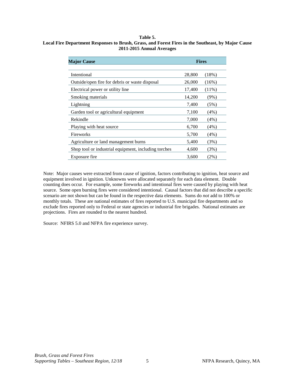#### **Table 5.**

#### <span id="page-5-0"></span>**Local Fire Department Responses to Brush, Grass, and Forest Fires in the Southeast, by Major Cause 2011-2015 Annual Averages**

| <b>Major Cause</b>                                   | <b>Fires</b> |          |  |  |
|------------------------------------------------------|--------------|----------|--|--|
| Intentional                                          | 28,800       | (18%)    |  |  |
| Outside/open fire for debris or waste disposal       | 26,000       | $(16\%)$ |  |  |
| Electrical power or utility line                     | 17,400       | $(11\%)$ |  |  |
| Smoking materials                                    | 14,200       | $(9\%)$  |  |  |
| Lightning                                            | 7,400        | (5%)     |  |  |
| Garden tool or agricultural equipment                | 7,100        | $(4\%)$  |  |  |
| Rekindle                                             | 7,000        | $(4\%)$  |  |  |
| Playing with heat source                             | 6,700        | $(4\%)$  |  |  |
| <b>Fireworks</b>                                     | 5,700        | $(4\%)$  |  |  |
| Agriculture or land management burns                 | 5,400        | (3%)     |  |  |
| Shop tool or industrial equipment, including torches | 4,600        | (3%)     |  |  |
| Exposure fire                                        | 3,600        | $(2\%)$  |  |  |

Note: Major causes were extracted from cause of ignition, factors contributing to ignition, heat source and equipment involved in ignition. Unknowns were allocated separately for each data element. Double counting does occur. For example, some fireworks and intentional fires were caused by playing with heat source. Some open burning fires were considered intentional. Causal factors that did not describe a specific scenario are not shown but can be found in the respective data elements. Sums do *not* add to 100% or monthly totals. These are national estimates of fires reported to U.S. municipal fire departments and so exclude fires reported only to Federal or state agencies or industrial fire brigades. National estimates are projections. Fires are rounded to the nearest hundred.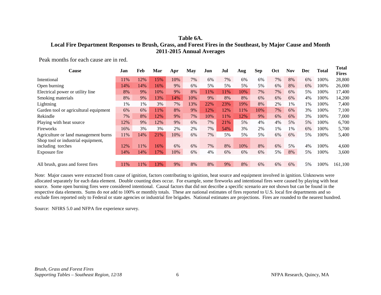# <span id="page-6-0"></span>**Table 6A. Local Fire Department Responses to Brush, Grass, and Forest Fires in the Southeast, by Major Cause and Month 2011-2015 Annual Averages**

Peak months for each cause are in red.

| Jan | Feb | Mar | Apr | May | Jun  | Jul | Aug | <b>Sep</b> | Oct | <b>Nov</b> | Dec   | <b>Total</b> | Total<br><b>Fires</b> |
|-----|-----|-----|-----|-----|------|-----|-----|------------|-----|------------|-------|--------------|-----------------------|
| 11% | 12% | 15% | 10% | 7%  | 6%   | 7%  | 6%  | 6%         | 7%  | 8%         | 6%    | 100%         | 28,800                |
| 14% | 14% | 16% | 9%  | 6%  | 5%   | 5%  | 5%  | 5%         | 6%  | 8%         | 6%    | 100%         | 26,000                |
| 8%  | 9%  | 10% | 9%  | 8%  | l 1% | 1%  | 10% | 7%         | 7%  | 6%         | 5%    | 100%         | 17,400                |
| 8%  | 9%  | 13% | 14% | 10% | 9%   | 8%  | 8%  | 6%         | 6%  | 6%         | 4%    | 100%         | 14,200                |
| 1%  | 1%  | 3%  | 7%  | 13% | 22%  | 23% | 19% | 8%         | 2%  | 1%         | $1\%$ | 100%         | 7,400                 |
| 6%  | 6%  | 11% | 8%  | 9%  | 12%  | 12% | 11% | 10%        | 7%  | 6%         | 3%    | 100%         | 7,100                 |
| 7%  | 8%  | 12% | 9%  | 7%  | 10%  | 11% | 12% | 9%         | 6%  | 6%         | 3%    | 100%         | 7,000                 |
| 12% | 9%  | 12% | 9%  | 6%  | 7%   | 21% | 5%  | 4%         | 4%  | 5%         | 5%    | 100%         | 6,700                 |
| 16% | 3%  | 3%  | 2%  | 2%  | 7%   | 54% | 3%  | 2%         | 1%  | 1%         | 6%    | 100%         | 5,700                 |
| 11% | 14% | 21% | 10% | 6%  | 7%   | 5%  | 5%  | 5%         | 6%  | 6%         | 5%    | 100%         | 5,400                 |
|     |     |     |     |     |      |     |     |            |     |            |       |              |                       |
| 12% | 11% | 16% | 6%  | 6%  | 7%   | 8%  | 10% | 8%         | 6%  | 5%         | 4%    | 100%         | 4,600                 |
| 14% | 14% | 17% | 10% | 6%  | 4%   | 6%  | 6%  | 6%         | 5%  | 8%         | 5%    | 100%         | 3,600                 |
| 11% | 11% | 13% | 9%  | 8%  | 8%   | 9%  | 8%  | 6%         | 6%  | 6%         | 5%    | 100%         | 161,100               |
|     |     |     |     |     |      |     |     |            |     |            |       |              |                       |

Note: Major causes were extracted from cause of ignition, factors contributing to ignition, heat source and equipment involved in ignition. Unknowns were allocated separately for each data element. Double counting does occur. For example, some fireworks and intentional fires were caused by playing with heat source. Some open burning fires were considered intentional. Causal factors that did not describe a specific scenario are not shown but can be found in the respective data elements. Sums do *not* add to 100% or monthly totals. These are national estimates of fires reported to U.S. local fire departments and so exclude fires reported only to Federal or state agencies or industrial fire brigades. National estimates are projections. Fires are rounded to the nearest hundred.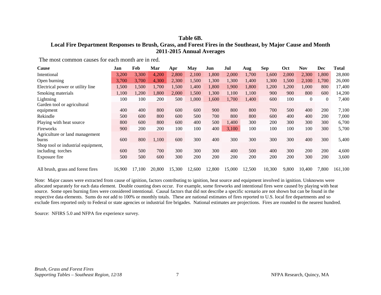# **Table 6B. Local Fire Department Responses to Brush, Grass, and Forest Fires in the Southeast, by Major Cause and Month 2011-2015 Annual Averages**

The most common causes for each month are in red.

| Cause                              | Jan    | Feb    | Mar    | Apr    | May    | Jun    | Jul    | Aug    | Sep    | Oct   | Nov          | Dec            | Total   |
|------------------------------------|--------|--------|--------|--------|--------|--------|--------|--------|--------|-------|--------------|----------------|---------|
| Intentional                        | 3,200  | 3,300  | 4,200  | 2,800  | 2,100  | 1,800  | 2,000  | 1,700  | 1,600  | 2,000 | 2,300        | 1,800          | 28,800  |
| Open burning                       | 3,700  | 3,700  | 4,300  | 2,300  | 1,500  | 1,300  | 1,300  | 1,400  | 1,300  | 1,500 | 2,100        | 1,700          | 26,000  |
| Electrical power or utility line   | 1,500  | 1,500  | 1,700  | 1,500  | 1,400  | 1,800  | 1,900  | 1,800  | 1,200  | 1,200 | 1,000        | 800            | 17,400  |
| Smoking materials                  | 1,100  | 1,200  | 1,800  | 2,000  | 1,500  | 1,300  | 1,100  | 1,100  | 900    | 900   | 800          | 600            | 14,200  |
| Lightning                          | 100    | 100    | 200    | 500    | 1,000  | 1,600  | 1,700  | 1,400  | 600    | 100   | $\mathbf{0}$ | $\overline{0}$ | 7,400   |
| Garden tool or agricultural        |        |        |        |        |        |        |        |        |        |       |              |                |         |
| equipment                          | 400    | 400    | 800    | 600    | 600    | 900    | 800    | 800    | 700    | 500   | 400          | 200            | 7,100   |
| Rekindle                           | 500    | 600    | 800    | 600    | 500    | 700    | 800    | 800    | 600    | 400   | 400          | 200            | 7,000   |
| Playing with heat source           | 800    | 600    | 800    | 600    | 400    | 500    | 1,400  | 300    | 200    | 300   | 300          | 300            | 6,700   |
| Fireworks                          | 900    | 200    | 200    | 100    | 100    | 400    | 3,100  | 100    | 100    | 100   | 100          | 300            | 5,700   |
| Agriculture or land management     |        |        |        |        |        |        |        |        |        |       |              |                |         |
| burns                              | 600    | 800    | 1,100  | 600    | 300    | 400    | 300    | 300    | 300    | 300   | 400          | 300            | 5,400   |
| Shop tool or industrial equipment, |        |        |        |        |        |        |        |        |        |       |              |                |         |
| including torches                  | 600    | 500    | 700    | 300    | 300    | 300    | 400    | 500    | 400    | 300   | 200          | 200            | 4,600   |
| Exposure fire                      | 500    | 500    | 600    | 300    | 200    | 200    | 200    | 200    | 200    | 200   | 300          | 200            | 3,600   |
|                                    |        |        |        |        |        |        |        |        |        |       |              |                |         |
| All brush, grass and forest fires  | 16,900 | 17,100 | 20,800 | 15,300 | 12,600 | 12,800 | 15,000 | 12,500 | 10,300 | 9,800 | 10,400       | 7,800          | 161,100 |

Note: Major causes were extracted from cause of ignition, factors contributing to ignition, heat source and equipment involved in ignition. Unknowns were allocated separately for each data element. Double counting does occur. For example, some fireworks and intentional fires were caused by playing with heat source. Some open burning fires were considered intentional. Causal factors that did not describe a specific scenario are not shown but can be found in the respective data elements. Sums do *not* add to 100% or monthly totals. These are national estimates of fires reported to U.S. local fire departments and so exclude fires reported only to Federal or state agencies or industrial fire brigades. National estimates are projections. Fires are rounded to the nearest hundred.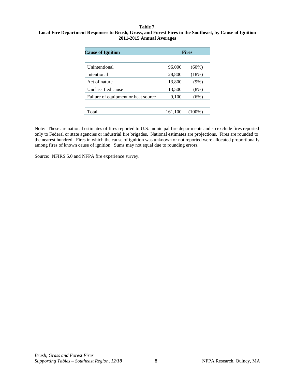#### <span id="page-8-0"></span>**Table 7. Local Fire Department Responses to Brush, Grass, and Forest Fires in the Southeast, by Cause of Ignition 2011-2015 Annual Averages**

| <b>Cause of Ignition</b>            |         | <b>Fires</b> |
|-------------------------------------|---------|--------------|
| Unintentional                       | 96,000  | $(60\%)$     |
| Intentional                         | 28,800  | (18%)        |
| Act of nature                       | 13,800  | $(9\%)$      |
| Unclassified cause                  | 13,500  | $(8\%)$      |
| Failure of equipment or heat source | 9,100   | (6%)         |
|                                     |         |              |
| Total                               | 161,100 | (100%)       |

Note: These are national estimates of fires reported to U.S. municipal fire departments and so exclude fires reported only to Federal or state agencies or industrial fire brigades. National estimates are projections. Fires are rounded to the nearest hundred. Fires in which the cause of ignition was unknown or not reported were allocated proportionally among fires of known cause of ignition. Sums may not equal due to rounding errors.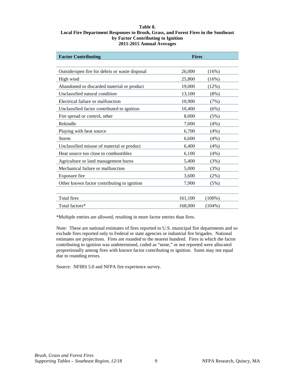#### <span id="page-9-0"></span>**Table 8. Local Fire Department Responses to Brush, Grass, and Forest Fires in the Southeast by Factor Contributing to Ignition 2011-2015 Annual Averages**

| <b>Factor Contributing</b>                     | <b>Fires</b> |           |
|------------------------------------------------|--------------|-----------|
|                                                |              |           |
| Outside/open fire for debris or waste disposal | 26,000       | (16%)     |
| High wind                                      | 25,800       | (16%)     |
| Abandoned or discarded material or product     | 19,000       | (12%)     |
| Unclassified natural condition                 | 13,100       | $(8\%)$   |
| Electrical failure or malfunction              | 10,900       | (7%)      |
| Unclassified factor contributed to ignition    | 10,400       | (6%)      |
| Fire spread or control, other                  | 8,000        | (5%)      |
| Rekindle                                       | 7,000        | (4%)      |
| Playing with heat source                       | 6,700        | (4%)      |
| Storm                                          | 6,600        | $(4\%)$   |
| Unclassified misuse of material or product     | 6,400        | (4%)      |
| Heat source too close to combustibles          | 6,100        | (4%)      |
| Agriculture or land management burns           | 5,400        | (3%)      |
| Mechanical failure or malfunction              | 5,000        | (3%)      |
| Exposure fire                                  | 3,600        | $(2\%)$   |
| Other known factor contributing to ignition    | 7,900        | (5%)      |
|                                                |              |           |
| Total fires                                    | 161,100      | $(100\%)$ |
| Total factors*                                 | 168,000      | $(104\%)$ |

\*Multiple entries are allowed, resulting in more factor entries than fires.

Note: These are national estimates of fires reported to U.S. municipal fire departments and so exclude fires reported only to Federal or state agencies or industrial fire brigades. National estimates are projections. Fires are rounded to the nearest hundred. Fires in which the factor contributing to ignition was undetermined, coded as "none," or not reported were allocated proportionally among fires with known factor contributing to ignition. Sums may not equal due to rounding errors.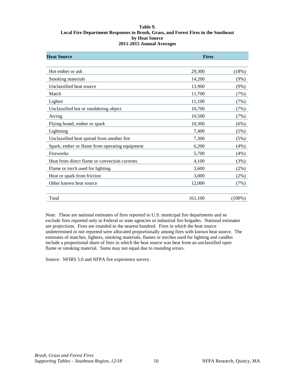#### <span id="page-10-0"></span>**Table 9. Local Fire Department Responses to Brush, Grass, and Forest Fires in the Southeast by Heat Source 2011-2015 Annual Averages**

| <b>Heat Source</b>                             | <b>Fires</b> |           |  |  |
|------------------------------------------------|--------------|-----------|--|--|
|                                                |              |           |  |  |
| Hot ember or ash                               | 29,300       | (18%)     |  |  |
| Smoking materials                              | 14,200       | (9%)      |  |  |
| Unclassified heat source                       | 13,900       | (9%)      |  |  |
| Match                                          | 11,700       | (7%)      |  |  |
| Lighter                                        | 11,100       | (7%)      |  |  |
| Unclassified hot or smoldering object          | 10,700       | (7%)      |  |  |
| Arcing                                         | 10,500       | (7%)      |  |  |
| Flying brand, ember or spark                   | 10,300       | (6%)      |  |  |
| Lightning                                      | 7,400        | (5%)      |  |  |
| Unclassified heat spread from another fire     | 7,300        | (5%)      |  |  |
| Spark, ember or flame from operating equipment | 6,200        | (4%)      |  |  |
| Fireworks                                      | 5,700        | (4%)      |  |  |
| Heat from direct flame or convection currents  | 4,100        | (3%)      |  |  |
| Flame or torch used for lighting               | 3,600        | (2%)      |  |  |
| Heat or spark from friction                    | 3,000        | (2%)      |  |  |
| Other known heat source                        | 12,000       | (7%)      |  |  |
|                                                |              |           |  |  |
| Total                                          | 161,100      | $(100\%)$ |  |  |

Note: These are national estimates of fires reported to U.S. municipal fire departments and so exclude fires reported only to Federal or state agencies or industrial fire brigades. National estimates are projections. Fires are rounded to the nearest hundred. Fires in which the heat source undetermined or not reported were allocated proportionally among fires with known heat source. The estimates of matches, lighters, smoking materials, flames or torches used for lighting and candles include a proportional share of fires in which the heat source was heat from an unclassified open flame or smoking material. Sums may not equal due to rounding errors.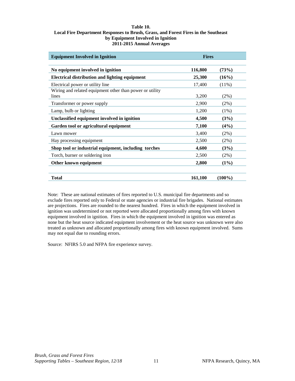#### <span id="page-11-0"></span>**Table 10. Local Fire Department Responses to Brush, Grass, and Forest Fires in the Southeast by Equipment Involved in Ignition 2011-2015 Annual Averages**

| <b>Equipment Involved in Ignition</b>                    | <b>Fires</b> |           |
|----------------------------------------------------------|--------------|-----------|
| No equipment involved in ignition                        | 116,800      | (73%)     |
| <b>Electrical distribution and lighting equipment</b>    | 25,300       | (16%)     |
| Electrical power or utility line                         | 17,400       | $(11\%)$  |
| Wiring and related equipment other than power or utility |              |           |
| lines                                                    | 3,200        | (2%)      |
| Transformer or power supply                              | 2,900        | (2%)      |
| Lamp, bulb or lighting                                   | 1,200        | $(1\%)$   |
| Unclassified equipment involved in ignition              | 4,500        | (3%)      |
| Garden tool or agricultural equipment                    | 7,100        | (4%)      |
| Lawn mower                                               | 3,400        | (2%)      |
| Hay processing equipment                                 | 2,500        | (2%)      |
| Shop tool or industrial equipment, including torches     | 4,600        | (3%)      |
| Torch, burner or soldering iron                          | 2,500        | (2%)      |
| Other known equipment                                    | 2,800        | $(1\%)$   |
| Total                                                    | 161,100      | $(100\%)$ |

Note: These are national estimates of fires reported to U.S. municipal fire departments and so exclude fires reported only to Federal or state agencies or industrial fire brigades. National estimates are projections. Fires are rounded to the nearest hundred. Fires in which the equipment involved in ignition was undetermined or not reported were allocated proportionally among fires with known equipment involved in ignition. Fires in which the equipment involved in ignition was entered as none but the heat source indicated equipment involvement or the heat source was unknown were also treated as unknown and allocated proportionally among fires with known equipment involved. Sums may not equal due to rounding errors.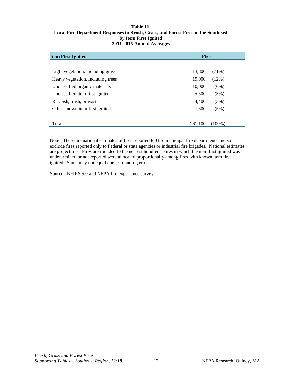#### <span id="page-12-0"></span>**Table 11. Local Fire Department Responses to Brush, Grass, and Forest Fires in the Southeast by Item First Ignited 2011-2015 Annual Averages**

| <b>Item First Ignited</b>         | <b>Fires</b> |          |
|-----------------------------------|--------------|----------|
|                                   |              |          |
| Light vegetation, including grass | 113,800      | $(71\%)$ |
| Heavy vegetation, including trees | 19,900       | (12%)    |
| Unclassified organic materials    | 10,000       | (6%)     |
| Unclassified item first ignited   | 5,500        | (3%)     |
| Rubbish, trash, or waste          | 4,400        | (3%)     |
| Other known item first ignited    | 7,600        | (5%)     |
|                                   |              |          |
| Total                             | 161,100      | (100%)   |

Note: These are national estimates of fires reported to U.S. municipal fire departments and so exclude fires reported only to Federal or state agencies or industrial fire brigades. National estimates are projections. Fires are rounded to the nearest hundred. Fires in which the item first ignited was undetermined or not reported were allocated proportionally among fires with known item first ignited. Sums may not equal due to rounding errors.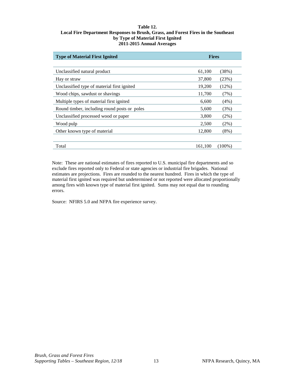#### <span id="page-13-0"></span>**Table 12. Local Fire Department Responses to Brush, Grass, and Forest Fires in the Southeast by Type of Material First Ignited 2011-2015 Annual Averages**

| <b>Type of Material First Ignited</b>        | <b>Fires</b> |          |
|----------------------------------------------|--------------|----------|
|                                              |              |          |
| Unclassified natural product                 | 61,100       | (38%)    |
| Hay or straw                                 | 37,800       | (23%)    |
| Unclassified type of material first ignited  | 19,200       | $(12\%)$ |
| Wood chips, sawdust or shavings              | 11,700       | (7%)     |
| Multiple types of material first ignited     | 6,600        | (4%)     |
| Round timber, including round posts or poles | 5,600        | (3%)     |
| Unclassified processed wood or paper         | 3,800        | $(2\%)$  |
| Wood pulp                                    | 2,500        | $(2\%)$  |
| Other known type of material                 | 12,800       | $(8\%)$  |
|                                              |              |          |
| Total                                        | 161,100      | (100%)   |

Note: These are national estimates of fires reported to U.S. municipal fire departments and so exclude fires reported only to Federal or state agencies or industrial fire brigades. National estimates are projections. Fires are rounded to the nearest hundred. Fires in which the type of material first ignited was required but undetermined or not reported were allocated proportionally among fires with known type of material first ignited. Sums may not equal due to rounding errors.